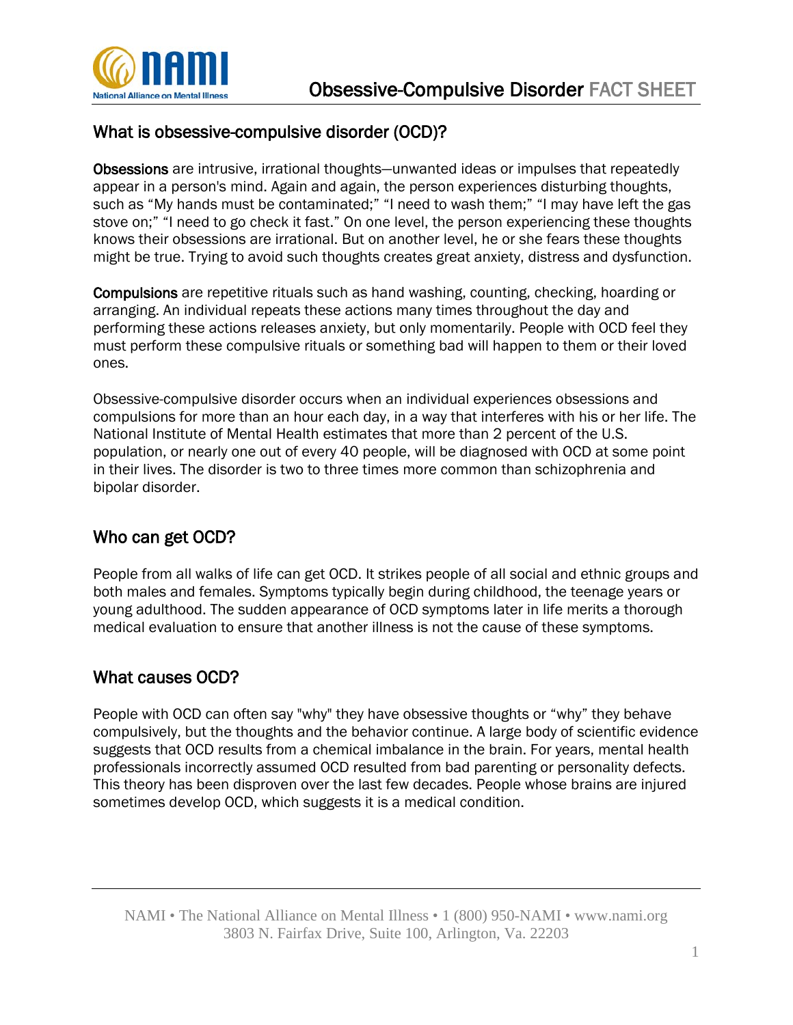

### What is obsessive-compulsive disorder (OCD)?

Obsessions are intrusive, irrational thoughts—unwanted ideas or impulses that repeatedly appear in a person's mind. Again and again, the person experiences disturbing thoughts, such as "My hands must be contaminated;" "I need to wash them;" "I may have left the gas stove on;" "I need to go check it fast." On one level, the person experiencing these thoughts knows their obsessions are irrational. But on another level, he or she fears these thoughts might be true. Trying to avoid such thoughts creates great anxiety, distress and dysfunction.

Compulsions are repetitive rituals such as hand washing, counting, checking, hoarding or arranging. An individual repeats these actions many times throughout the day and performing these actions releases anxiety, but only momentarily. People with OCD feel they must perform these compulsive rituals or something bad will happen to them or their loved ones.

Obsessive-compulsive disorder occurs when an individual experiences obsessions and compulsions for more than an hour each day, in a way that interferes with his or her life. The National Institute of Mental Health estimates that more than 2 percent of the U.S. population, or nearly one out of every 40 people, will be diagnosed with OCD at some point in their lives. The disorder is two to three times more common than schizophrenia and bipolar disorder.

## Who can get OCD?

People from all walks of life can get OCD. It strikes people of all social and ethnic groups and both males and females. Symptoms typically begin during childhood, the teenage years or young adulthood. The sudden appearance of OCD symptoms later in life merits a thorough medical evaluation to ensure that another illness is not the cause of these symptoms.

#### What causes OCD?

People with OCD can often say "why" they have obsessive thoughts or "why" they behave compulsively, but the thoughts and the behavior continue. A large body of scientific evidence suggests that OCD results from a chemical imbalance in the brain. For years, mental health professionals incorrectly assumed OCD resulted from bad parenting or personality defects. This theory has been disproven over the last few decades. People whose brains are injured sometimes develop OCD, which suggests it is a medical condition.